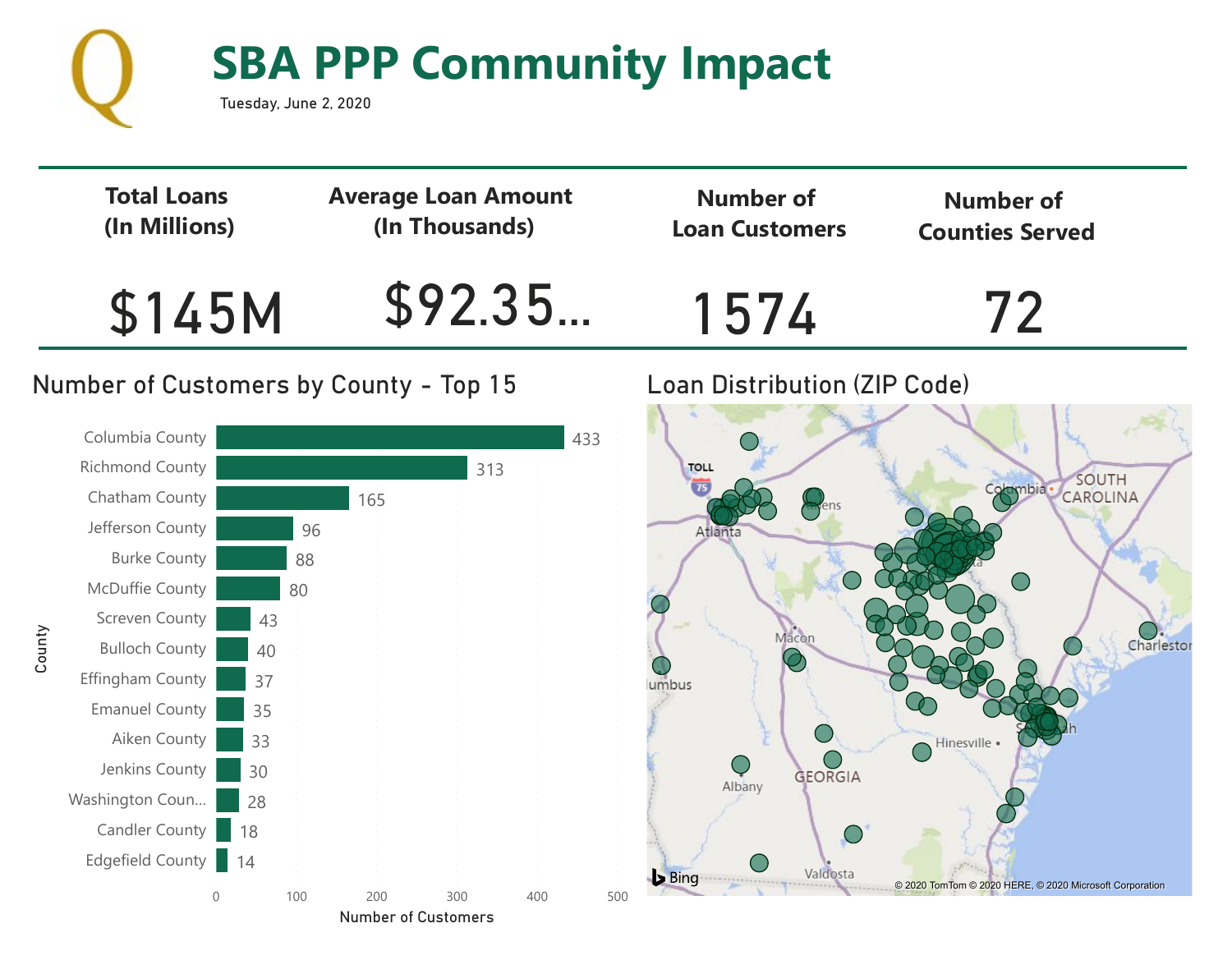

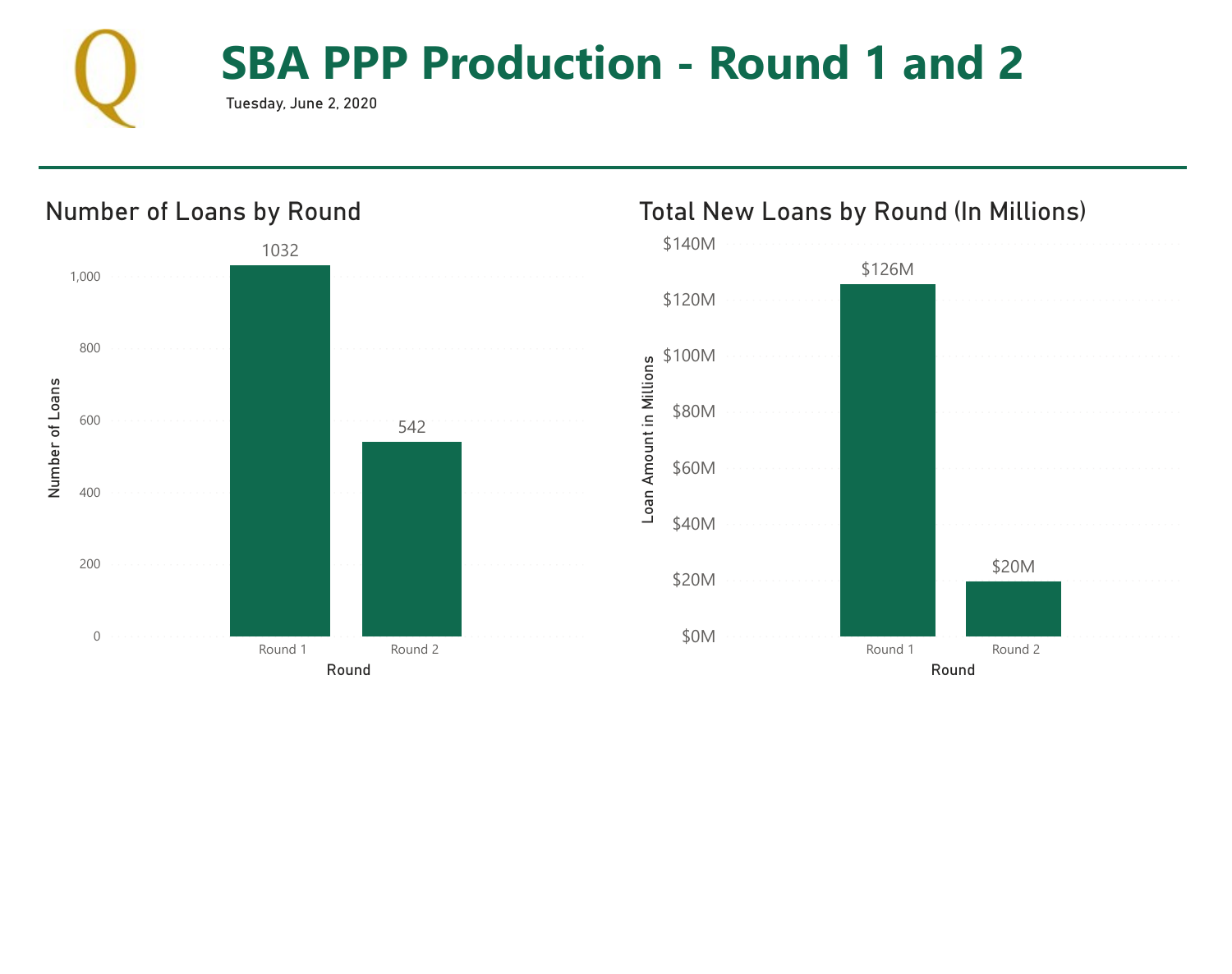

# **SBA PPP Production - Round 1 and 2**

Tuesday, June 2, 2020



#### Total New Loans by Round (In Millions)

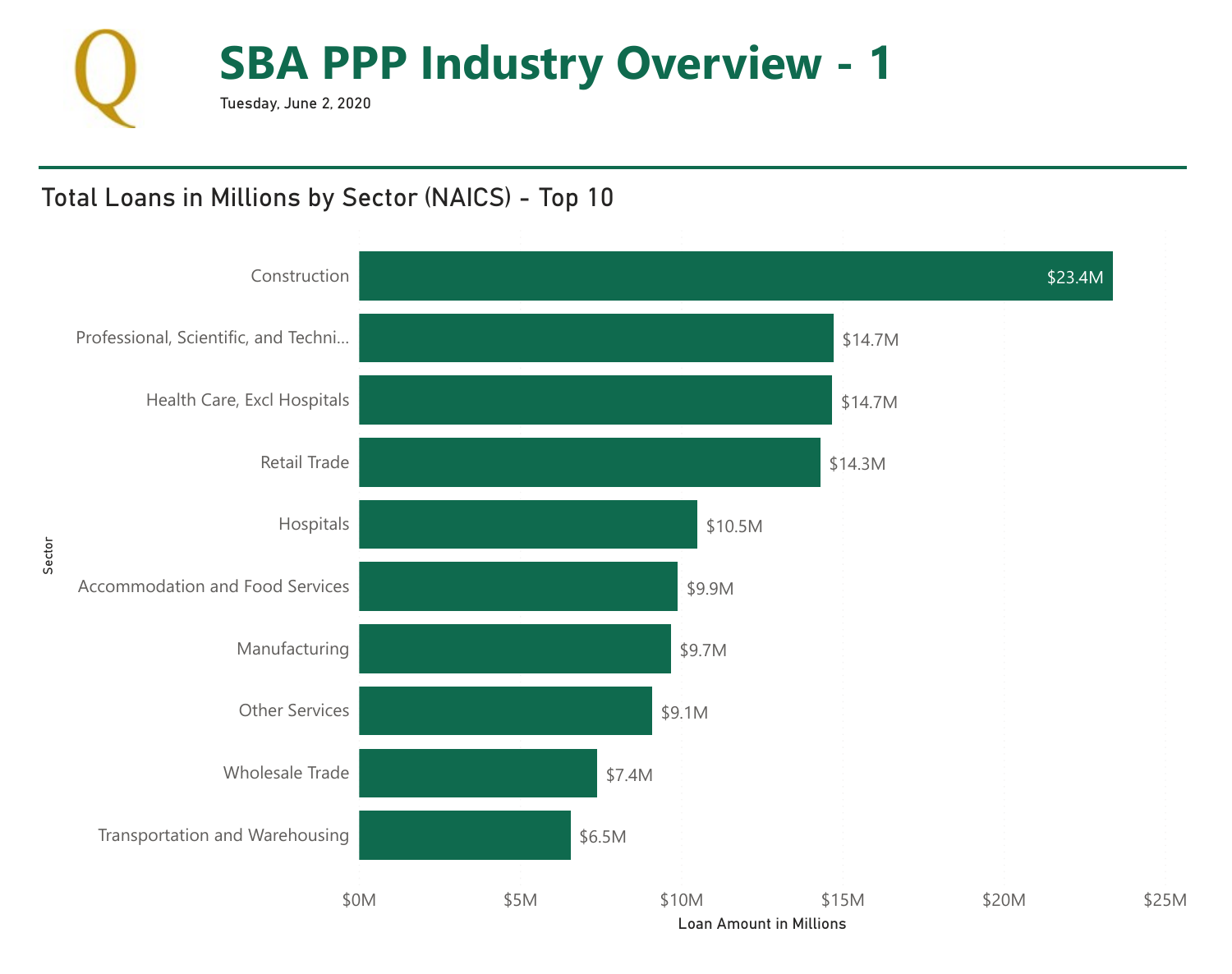

# Total Loans in Millions by Sector (NAICS) - Top 10

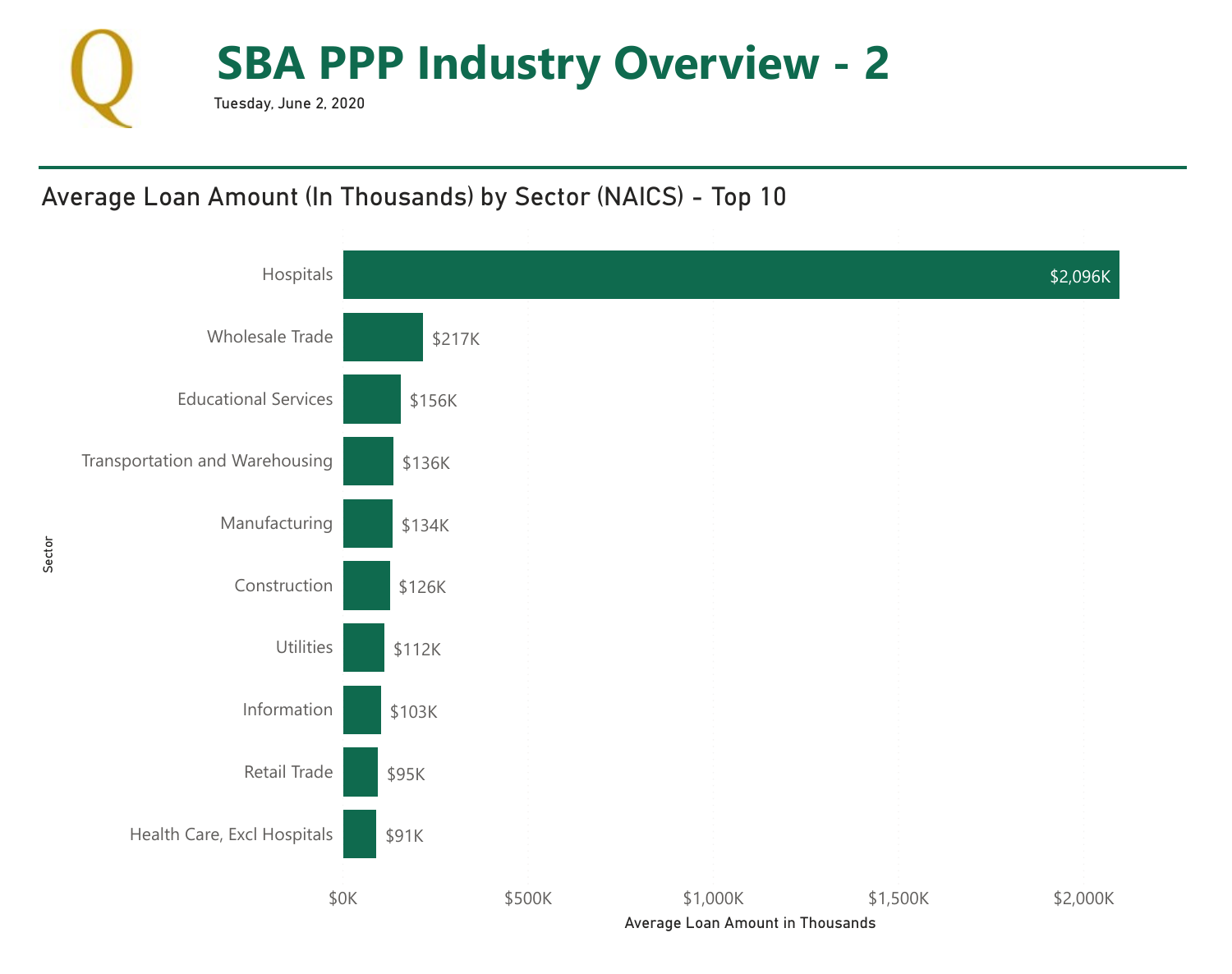

# Average Loan Amount (In Thousands) by Sector (NAICS) - Top 10